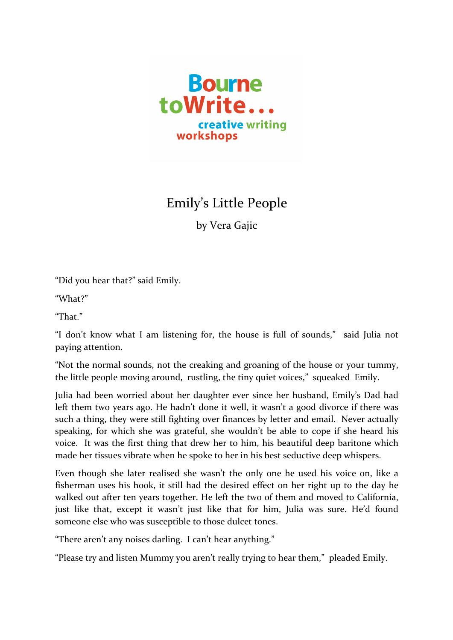

## Emily's Little People

by Vera Gajic

"Did you hear that?" said Emily.

"What?"

"That"

"I don't know what I am listening for, the house is full of sounds," said Julia not paying attention.

"Not the normal sounds, not the creaking and groaning of the house or your tummy, the little people moving around, rustling, the tiny quiet voices," squeaked Emily.

Julia had been worried about her daughter ever since her husband, Emily's Dad had left them two years ago. He hadn't done it well, it wasn't a good divorce if there was such a thing, they were still fighting over finances by letter and email. Never actually speaking, for which she was grateful, she wouldn't be able to cope if she heard his voice. It was the first thing that drew her to him, his beautiful deep baritone which made her tissues vibrate when he spoke to her in his best seductive deep whispers.

Even though she later realised she wasn't the only one he used his voice on, like a fisherman uses his hook, it still had the desired effect on her right up to the day he walked out after ten years together. He left the two of them and moved to California, just like that, except it wasn't just like that for him, Julia was sure. He'd found someone else who was susceptible to those dulcet tones.

"There aren't any noises darling. I can't hear anything."

"Please try and listen Mummy you aren't really trying to hear them," pleaded Emily.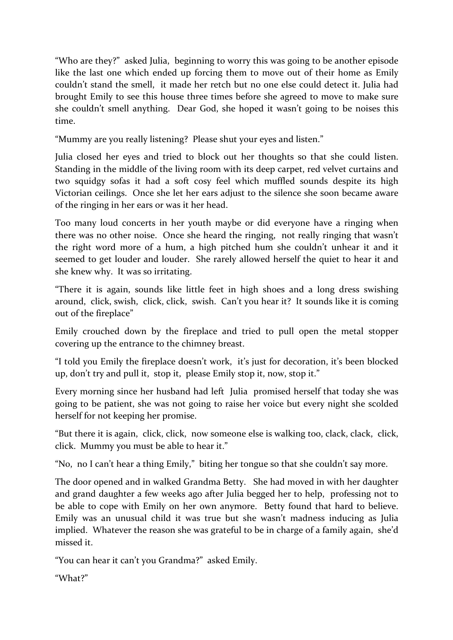"Who are they?" asked Julia, beginning to worry this was going to be another episode like the last one which ended up forcing them to move out of their home as Emily couldn't stand the smell, it made her retch but no one else could detect it. Julia had brought Emily to see this house three times before she agreed to move to make sure she couldn't smell anything. Dear God, she hoped it wasn't going to be noises this time.

"Mummy are you really listening? Please shut your eyes and listen."

Julia closed her eyes and tried to block out her thoughts so that she could listen. Standing in the middle of the living room with its deep carpet, red velvet curtains and two squidgy sofas it had a soft cosy feel which muffled sounds despite its high Victorian ceilings. Once she let her ears adjust to the silence she soon became aware of the ringing in her ears or was it her head.

Too many loud concerts in her youth maybe or did everyone have a ringing when there was no other noise. Once she heard the ringing, not really ringing that wasn't the right word more of a hum, a high pitched hum she couldn't unhear it and it seemed to get louder and louder. She rarely allowed herself the quiet to hear it and she knew why. It was so irritating.

"There it is again, sounds like little feet in high shoes and a long dress swishing around, click, swish, click, click, swish. Can't you hear it? It sounds like it is coming out of the fireplace"

Emily crouched down by the fireplace and tried to pull open the metal stopper covering up the entrance to the chimney breast.

"I told you Emily the fireplace doesn't work, it's just for decoration, it's been blocked up, don't try and pull it, stop it, please Emily stop it, now, stop it."

Every morning since her husband had left Julia promised herself that today she was going to be patient, she was not going to raise her voice but every night she scolded herself for not keeping her promise.

"But there it is again, click, click, now someone else is walking too, clack, clack, click, click. Mummy you must be able to hear it."

"No, no I can't hear a thing Emily," biting her tongue so that she couldn't say more.

The door opened and in walked Grandma Betty. She had moved in with her daughter and grand daughter a few weeks ago after Julia begged her to help, professing not to be able to cope with Emily on her own anymore. Betty found that hard to believe. Emily was an unusual child it was true but she wasn't madness inducing as Julia implied. Whatever the reason she was grateful to be in charge of a family again, she'd missed it

"You can hear it can't you Grandma?" asked Emily.

"What?"